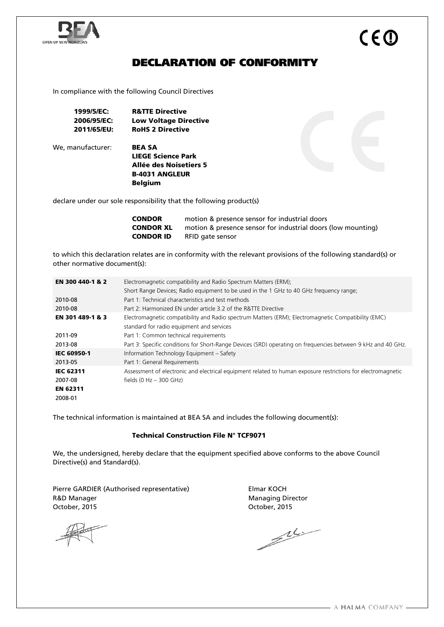

# DECLARATION OF CONFORMITY

In compliance with the following Council Directives

| 1999/5/EC:  | <b>R&amp;TTE Directive</b>   |
|-------------|------------------------------|
| 2006/95/EC: | <b>Low Voltage Directive</b> |
| 2011/65/EU: | <b>RoHS 2 Directive</b>      |

We, manufacturer: **BEA SA** 

LIEGE Science Park Allée des Noisetiers 5 B-4031 ANGLEUR Belgium

declare under our sole responsibility that the following product(s)

| <b>CONDOR</b>    | motion & presence sensor for industrial doors                |
|------------------|--------------------------------------------------------------|
| <b>CONDOR XL</b> | motion & presence sensor for industrial doors (low mounting) |
| <b>CONDOR ID</b> | RFID gate sensor                                             |

to which this declaration relates are in conformity with the relevant provisions of the following standard(s) or other normative document(s):

| EN 300 440-1 & 2   | Electromagnetic compatibility and Radio Spectrum Matters (ERM);                                              |  |  |
|--------------------|--------------------------------------------------------------------------------------------------------------|--|--|
|                    | Short Range Devices; Radio equipment to be used in the 1 GHz to 40 GHz frequency range;                      |  |  |
| 2010-08            | Part 1: Technical characteristics and test methods                                                           |  |  |
| 2010-08            | Part 2: Harmonized EN under article 3.2 of the R&TTE Directive                                               |  |  |
| EN 301 489-1 & 3   | Electromagnetic compatibility and Radio spectrum Matters (ERM); Electromagnetic Compatibility (EMC)          |  |  |
|                    | standard for radio equipment and services                                                                    |  |  |
| 2011-09            | Part 1: Common technical requirements                                                                        |  |  |
| 2013-08            | Part 3: Specific conditions for Short-Range Devices (SRD) operating on frequencies between 9 kHz and 40 GHz. |  |  |
| <b>IEC 60950-1</b> | Information Technology Equipment - Safety                                                                    |  |  |
| 2013-05            | Part 1: General Requirements                                                                                 |  |  |
| <b>IEC 62311</b>   | Assessment of electronic and electrical equipment related to human exposure restrictions for electromagnetic |  |  |
| 2007-08            | fields (0 Hz $-$ 300 GHz)                                                                                    |  |  |
| <b>EN 62311</b>    |                                                                                                              |  |  |
| 2008-01            |                                                                                                              |  |  |

The technical information is maintained at BEA SA and includes the following document(s):

#### Technical Construction File N° TCF9071

We, the undersigned, hereby declare that the equipment specified above conforms to the above Council Directive(s) and Standard(s).

Pierre GARDIER (Authorised representative) Flmar KOCH R&D Manager **Managing Director** Managing Director October, 2015 October, 2015

 $\mathbb{Z}$